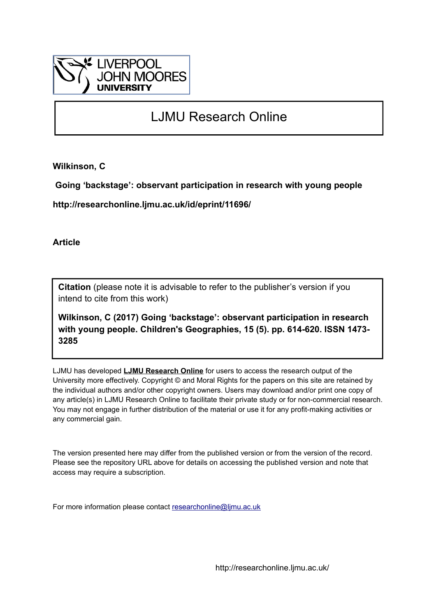

# LJMU Research Online

**Wilkinson, C**

 **Going 'backstage': observant participation in research with young people**

**http://researchonline.ljmu.ac.uk/id/eprint/11696/**

**Article**

**Citation** (please note it is advisable to refer to the publisher's version if you intend to cite from this work)

**Wilkinson, C (2017) Going 'backstage': observant participation in research with young people. Children's Geographies, 15 (5). pp. 614-620. ISSN 1473- 3285** 

LJMU has developed **[LJMU Research Online](http://researchonline.ljmu.ac.uk/)** for users to access the research output of the University more effectively. Copyright © and Moral Rights for the papers on this site are retained by the individual authors and/or other copyright owners. Users may download and/or print one copy of any article(s) in LJMU Research Online to facilitate their private study or for non-commercial research. You may not engage in further distribution of the material or use it for any profit-making activities or any commercial gain.

The version presented here may differ from the published version or from the version of the record. Please see the repository URL above for details on accessing the published version and note that access may require a subscription.

For more information please contact [researchonline@ljmu.ac.uk](mailto:researchonline@ljmu.ac.uk)

http://researchonline.ljmu.ac.uk/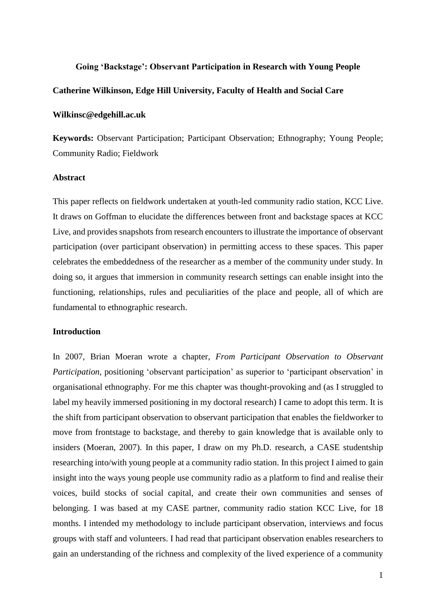#### **Going 'Backstage': Observant Participation in Research with Young People**

## **Catherine Wilkinson, Edge Hill University, Faculty of Health and Social Care**

### **Wilkinsc@edgehill.ac.uk**

**Keywords:** Observant Participation; Participant Observation; Ethnography; Young People; Community Radio; Fieldwork

## **Abstract**

This paper reflects on fieldwork undertaken at youth-led community radio station, KCC Live. It draws on Goffman to elucidate the differences between front and backstage spaces at KCC Live, and provides snapshots from research encounters to illustrate the importance of observant participation (over participant observation) in permitting access to these spaces. This paper celebrates the embeddedness of the researcher as a member of the community under study. In doing so, it argues that immersion in community research settings can enable insight into the functioning, relationships, rules and peculiarities of the place and people, all of which are fundamental to ethnographic research.

## **Introduction**

In 2007, Brian Moeran wrote a chapter, *From Participant Observation to Observant Participation*, positioning 'observant participation' as superior to 'participant observation' in organisational ethnography. For me this chapter was thought-provoking and (as I struggled to label my heavily immersed positioning in my doctoral research) I came to adopt this term. It is the shift from participant observation to observant participation that enables the fieldworker to move from frontstage to backstage, and thereby to gain knowledge that is available only to insiders (Moeran, 2007). In this paper, I draw on my Ph.D. research, a CASE studentship researching into/with young people at a community radio station. In this project I aimed to gain insight into the ways young people use community radio as a platform to find and realise their voices, build stocks of social capital, and create their own communities and senses of belonging. I was based at my CASE partner, community radio station KCC Live, for 18 months. I intended my methodology to include participant observation, interviews and focus groups with staff and volunteers. I had read that participant observation enables researchers to gain an understanding of the richness and complexity of the lived experience of a community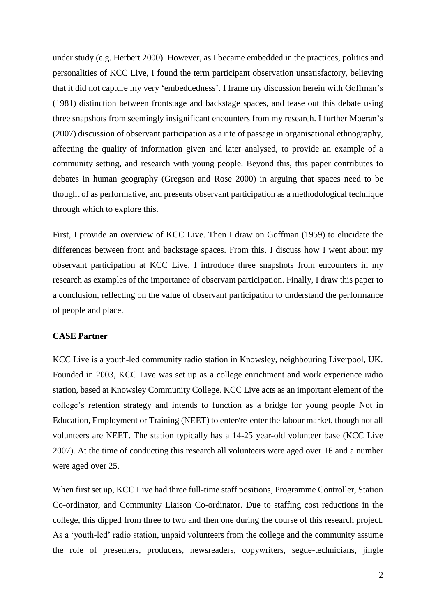under study (e.g. Herbert 2000). However, as I became embedded in the practices, politics and personalities of KCC Live, I found the term participant observation unsatisfactory, believing that it did not capture my very 'embeddedness'. I frame my discussion herein with Goffman's (1981) distinction between frontstage and backstage spaces, and tease out this debate using three snapshots from seemingly insignificant encounters from my research. I further Moeran's (2007) discussion of observant participation as a rite of passage in organisational ethnography, affecting the quality of information given and later analysed, to provide an example of a community setting, and research with young people. Beyond this, this paper contributes to debates in human geography (Gregson and Rose 2000) in arguing that spaces need to be thought of as performative, and presents observant participation as a methodological technique through which to explore this.

First, I provide an overview of KCC Live. Then I draw on Goffman (1959) to elucidate the differences between front and backstage spaces. From this, I discuss how I went about my observant participation at KCC Live. I introduce three snapshots from encounters in my research as examples of the importance of observant participation. Finally, I draw this paper to a conclusion, reflecting on the value of observant participation to understand the performance of people and place.

## **CASE Partner**

KCC Live is a youth-led community radio station in Knowsley, neighbouring Liverpool, UK. Founded in 2003, KCC Live was set up as a college enrichment and work experience radio station, based at Knowsley Community College. KCC Live acts as an important element of the college's retention strategy and intends to function as a bridge for young people Not in Education, Employment or Training (NEET) to enter/re-enter the labour market, though not all volunteers are NEET. The station typically has a 14-25 year-old volunteer base (KCC Live 2007). At the time of conducting this research all volunteers were aged over 16 and a number were aged over 25.

When first set up, KCC Live had three full-time staff positions, Programme Controller, Station Co-ordinator, and Community Liaison Co-ordinator. Due to staffing cost reductions in the college, this dipped from three to two and then one during the course of this research project. As a 'youth-led' radio station, unpaid volunteers from the college and the community assume the role of presenters, producers, newsreaders, copywriters, segue-technicians, jingle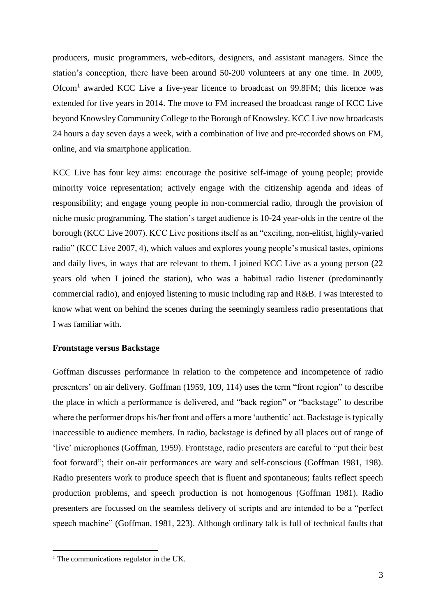producers, music programmers, web-editors, designers, and assistant managers. Since the station's conception, there have been around 50-200 volunteers at any one time. In 2009, Ofcom<sup>1</sup> awarded KCC Live a five-year licence to broadcast on 99.8FM; this licence was extended for five years in 2014. The move to FM increased the broadcast range of KCC Live beyond Knowsley Community College to the Borough of Knowsley. KCC Live now broadcasts 24 hours a day seven days a week, with a combination of live and pre-recorded shows on FM, online, and via smartphone application.

KCC Live has four key aims: encourage the positive self-image of young people; provide minority voice representation; actively engage with the citizenship agenda and ideas of responsibility; and engage young people in non-commercial radio, through the provision of niche music programming. The station's target audience is 10-24 year-olds in the centre of the borough (KCC Live 2007). KCC Live positions itself as an "exciting, non-elitist, highly-varied radio" (KCC Live 2007, 4), which values and explores young people's musical tastes, opinions and daily lives, in ways that are relevant to them. I joined KCC Live as a young person (22 years old when I joined the station), who was a habitual radio listener (predominantly commercial radio), and enjoyed listening to music including rap and R&B. I was interested to know what went on behind the scenes during the seemingly seamless radio presentations that I was familiar with.

# **Frontstage versus Backstage**

Goffman discusses performance in relation to the competence and incompetence of radio presenters' on air delivery. Goffman (1959, 109, 114) uses the term "front region" to describe the place in which a performance is delivered, and "back region" or "backstage" to describe where the performer drops his/her front and offers a more 'authentic' act. Backstage is typically inaccessible to audience members. In radio, backstage is defined by all places out of range of 'live' microphones (Goffman, 1959). Frontstage, radio presenters are careful to "put their best foot forward"; their on-air performances are wary and self-conscious (Goffman 1981, 198). Radio presenters work to produce speech that is fluent and spontaneous; faults reflect speech production problems, and speech production is not homogenous (Goffman 1981). Radio presenters are focussed on the seamless delivery of scripts and are intended to be a "perfect speech machine" (Goffman, 1981, 223). Although ordinary talk is full of technical faults that

1

 $<sup>1</sup>$  The communications regulator in the UK.</sup>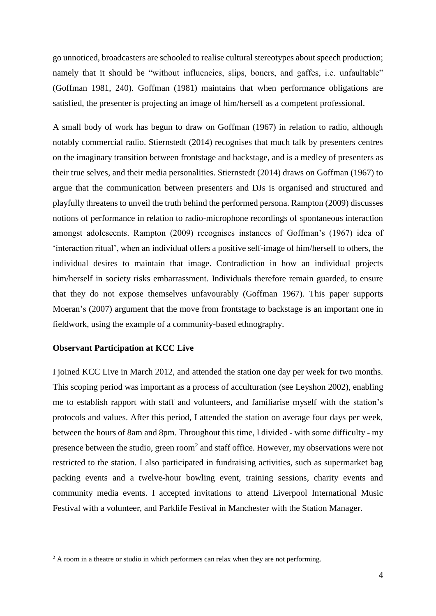go unnoticed, broadcasters are schooled to realise cultural stereotypes about speech production; namely that it should be "without influencies, slips, boners, and gaffes, i.e. unfaultable" (Goffman 1981, 240). Goffman (1981) maintains that when performance obligations are satisfied, the presenter is projecting an image of him/herself as a competent professional.

A small body of work has begun to draw on Goffman (1967) in relation to radio, although notably commercial radio. Stiernstedt (2014) recognises that much talk by presenters centres on the imaginary transition between frontstage and backstage, and is a medley of presenters as their true selves, and their media personalities. Stiernstedt (2014) draws on Goffman (1967) to argue that the communication between presenters and DJs is organised and structured and playfully threatens to unveil the truth behind the performed persona. Rampton (2009) discusses notions of performance in relation to radio-microphone recordings of spontaneous interaction amongst adolescents. Rampton (2009) recognises instances of Goffman's (1967) idea of 'interaction ritual', when an individual offers a positive self-image of him/herself to others, the individual desires to maintain that image. Contradiction in how an individual projects him/herself in society risks embarrassment. Individuals therefore remain guarded, to ensure that they do not expose themselves unfavourably (Goffman 1967). This paper supports Moeran's (2007) argument that the move from frontstage to backstage is an important one in fieldwork, using the example of a community-based ethnography.

## **Observant Participation at KCC Live**

1

I joined KCC Live in March 2012, and attended the station one day per week for two months. This scoping period was important as a process of acculturation (see Leyshon 2002), enabling me to establish rapport with staff and volunteers, and familiarise myself with the station's protocols and values. After this period, I attended the station on average four days per week, between the hours of 8am and 8pm. Throughout this time, I divided - with some difficulty - my presence between the studio, green room<sup>2</sup> and staff office. However, my observations were not restricted to the station. I also participated in fundraising activities, such as supermarket bag packing events and a twelve-hour bowling event, training sessions, charity events and community media events. I accepted invitations to attend Liverpool International Music Festival with a volunteer, and Parklife Festival in Manchester with the Station Manager.

 $2 \text{ A room in a theater or studio in which performs can relax when they are not performing.}$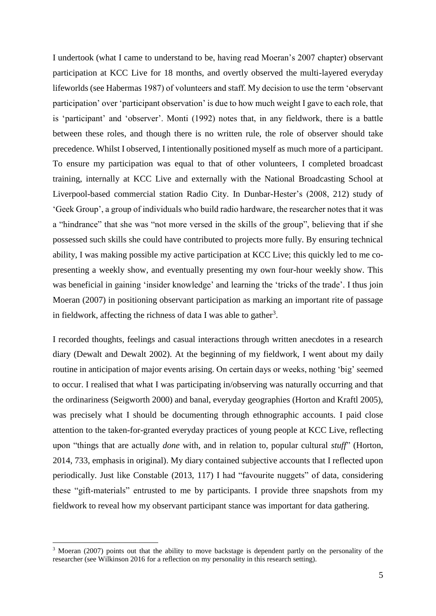I undertook (what I came to understand to be, having read Moeran's 2007 chapter) observant participation at KCC Live for 18 months, and overtly observed the multi-layered everyday lifeworlds (see Habermas 1987) of volunteers and staff. My decision to use the term 'observant participation' over 'participant observation' is due to how much weight I gave to each role, that is 'participant' and 'observer'. Monti (1992) notes that, in any fieldwork, there is a battle between these roles, and though there is no written rule, the role of observer should take precedence. Whilst I observed, I intentionally positioned myself as much more of a participant. To ensure my participation was equal to that of other volunteers, I completed broadcast training, internally at KCC Live and externally with the National Broadcasting School at Liverpool-based commercial station Radio City. In Dunbar-Hester's (2008, 212) study of 'Geek Group', a group of individuals who build radio hardware, the researcher notes that it was a "hindrance" that she was "not more versed in the skills of the group", believing that if she possessed such skills she could have contributed to projects more fully. By ensuring technical ability, I was making possible my active participation at KCC Live; this quickly led to me copresenting a weekly show, and eventually presenting my own four-hour weekly show. This was beneficial in gaining 'insider knowledge' and learning the 'tricks of the trade'. I thus join Moeran (2007) in positioning observant participation as marking an important rite of passage in fieldwork, affecting the richness of data I was able to gather<sup>3</sup>.

I recorded thoughts, feelings and casual interactions through written anecdotes in a research diary (Dewalt and Dewalt 2002). At the beginning of my fieldwork, I went about my daily routine in anticipation of major events arising. On certain days or weeks, nothing 'big' seemed to occur. I realised that what I was participating in/observing was naturally occurring and that the ordinariness (Seigworth 2000) and banal, everyday geographies (Horton and Kraftl 2005), was precisely what I should be documenting through ethnographic accounts. I paid close attention to the taken-for-granted everyday practices of young people at KCC Live, reflecting upon "things that are actually *done* with, and in relation to, popular cultural *stuff*" (Horton, 2014, 733, emphasis in original). My diary contained subjective accounts that I reflected upon periodically. Just like Constable (2013, 117) I had "favourite nuggets" of data, considering these "gift-materials" entrusted to me by participants. I provide three snapshots from my fieldwork to reveal how my observant participant stance was important for data gathering.

1

<sup>&</sup>lt;sup>3</sup> Moeran (2007) points out that the ability to move backstage is dependent partly on the personality of the researcher (see Wilkinson 2016 for a reflection on my personality in this research setting).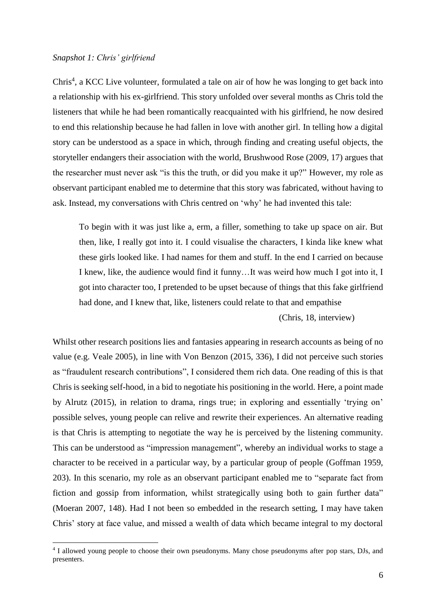## *Snapshot 1: Chris' girlfriend*

1

Chris<sup>4</sup>, a KCC Live volunteer, formulated a tale on air of how he was longing to get back into a relationship with his ex-girlfriend. This story unfolded over several months as Chris told the listeners that while he had been romantically reacquainted with his girlfriend, he now desired to end this relationship because he had fallen in love with another girl. In telling how a digital story can be understood as a space in which, through finding and creating useful objects, the storyteller endangers their association with the world, Brushwood Rose (2009, 17) argues that the researcher must never ask "is this the truth, or did you make it up?" However, my role as observant participant enabled me to determine that this story was fabricated, without having to ask. Instead, my conversations with Chris centred on 'why' he had invented this tale:

To begin with it was just like a, erm, a filler, something to take up space on air. But then, like, I really got into it. I could visualise the characters, I kinda like knew what these girls looked like. I had names for them and stuff. In the end I carried on because I knew, like, the audience would find it funny…It was weird how much I got into it, I got into character too, I pretended to be upset because of things that this fake girlfriend had done, and I knew that, like, listeners could relate to that and empathise

(Chris, 18, interview)

Whilst other research positions lies and fantasies appearing in research accounts as being of no value (e.g. Veale 2005), in line with Von Benzon (2015, 336), I did not perceive such stories as "fraudulent research contributions", I considered them rich data. One reading of this is that Chris is seeking self-hood, in a bid to negotiate his positioning in the world. Here, a point made by Alrutz (2015), in relation to drama, rings true; in exploring and essentially 'trying on' possible selves, young people can relive and rewrite their experiences. An alternative reading is that Chris is attempting to negotiate the way he is perceived by the listening community. This can be understood as "impression management", whereby an individual works to stage a character to be received in a particular way, by a particular group of people (Goffman 1959, 203). In this scenario, my role as an observant participant enabled me to "separate fact from fiction and gossip from information, whilst strategically using both to gain further data" (Moeran 2007, 148). Had I not been so embedded in the research setting, I may have taken Chris' story at face value, and missed a wealth of data which became integral to my doctoral

<sup>&</sup>lt;sup>4</sup> I allowed young people to choose their own pseudonyms. Many chose pseudonyms after pop stars, DJs, and presenters.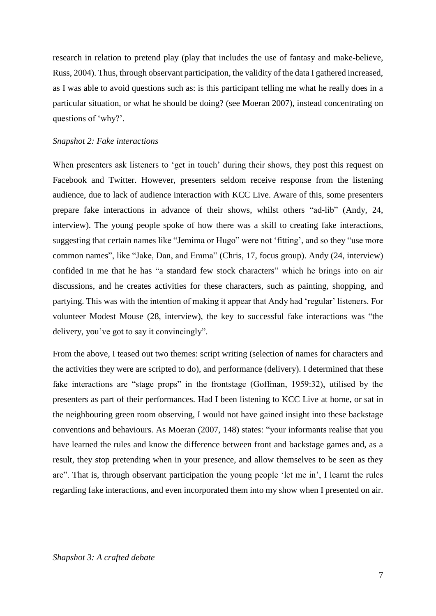research in relation to pretend play (play that includes the use of fantasy and make-believe, Russ, 2004). Thus, through observant participation, the validity of the data I gathered increased, as I was able to avoid questions such as: is this participant telling me what he really does in a particular situation, or what he should be doing? (see Moeran 2007), instead concentrating on questions of 'why?'.

### *Snapshot 2: Fake interactions*

When presenters ask listeners to 'get in touch' during their shows, they post this request on Facebook and Twitter. However, presenters seldom receive response from the listening audience, due to lack of audience interaction with KCC Live. Aware of this, some presenters prepare fake interactions in advance of their shows, whilst others "ad-lib" (Andy, 24, interview). The young people spoke of how there was a skill to creating fake interactions, suggesting that certain names like "Jemima or Hugo" were not 'fitting', and so they "use more common names", like "Jake, Dan, and Emma" (Chris, 17, focus group). Andy (24, interview) confided in me that he has "a standard few stock characters" which he brings into on air discussions, and he creates activities for these characters, such as painting, shopping, and partying. This was with the intention of making it appear that Andy had 'regular' listeners. For volunteer Modest Mouse (28, interview), the key to successful fake interactions was "the delivery, you've got to say it convincingly".

From the above, I teased out two themes: script writing (selection of names for characters and the activities they were are scripted to do), and performance (delivery). I determined that these fake interactions are "stage props" in the frontstage (Goffman, 1959:32), utilised by the presenters as part of their performances. Had I been listening to KCC Live at home, or sat in the neighbouring green room observing, I would not have gained insight into these backstage conventions and behaviours. As Moeran (2007, 148) states: "your informants realise that you have learned the rules and know the difference between front and backstage games and, as a result, they stop pretending when in your presence, and allow themselves to be seen as they are". That is, through observant participation the young people 'let me in', I learnt the rules regarding fake interactions, and even incorporated them into my show when I presented on air.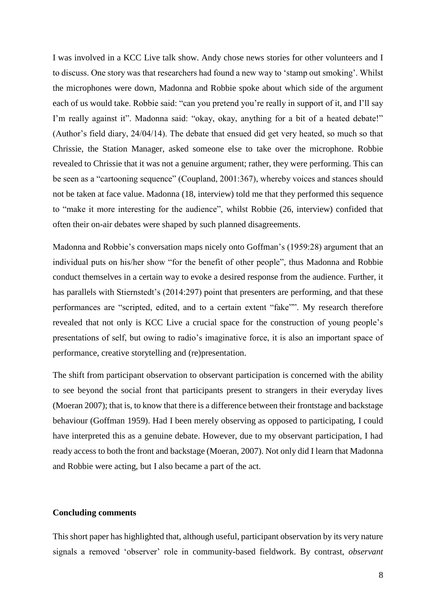I was involved in a KCC Live talk show. Andy chose news stories for other volunteers and I to discuss. One story was that researchers had found a new way to 'stamp out smoking'. Whilst the microphones were down, Madonna and Robbie spoke about which side of the argument each of us would take. Robbie said: "can you pretend you're really in support of it, and I'll say I'm really against it". Madonna said: "okay, okay, anything for a bit of a heated debate!" (Author's field diary, 24/04/14). The debate that ensued did get very heated, so much so that Chrissie, the Station Manager, asked someone else to take over the microphone. Robbie revealed to Chrissie that it was not a genuine argument; rather, they were performing. This can be seen as a "cartooning sequence" (Coupland, 2001:367), whereby voices and stances should not be taken at face value. Madonna (18, interview) told me that they performed this sequence to "make it more interesting for the audience", whilst Robbie (26, interview) confided that often their on-air debates were shaped by such planned disagreements.

Madonna and Robbie's conversation maps nicely onto Goffman's (1959:28) argument that an individual puts on his/her show "for the benefit of other people", thus Madonna and Robbie conduct themselves in a certain way to evoke a desired response from the audience. Further, it has parallels with Stiernstedt's (2014:297) point that presenters are performing, and that these performances are "scripted, edited, and to a certain extent "fake"". My research therefore revealed that not only is KCC Live a crucial space for the construction of young people's presentations of self, but owing to radio's imaginative force, it is also an important space of performance, creative storytelling and (re)presentation.

The shift from participant observation to observant participation is concerned with the ability to see beyond the social front that participants present to strangers in their everyday lives (Moeran 2007); that is, to know that there is a difference between their frontstage and backstage behaviour (Goffman 1959). Had I been merely observing as opposed to participating, I could have interpreted this as a genuine debate. However, due to my observant participation, I had ready access to both the front and backstage (Moeran, 2007). Not only did I learn that Madonna and Robbie were acting, but I also became a part of the act.

## **Concluding comments**

This short paper has highlighted that, although useful, participant observation by its very nature signals a removed 'observer' role in community-based fieldwork. By contrast, *observant*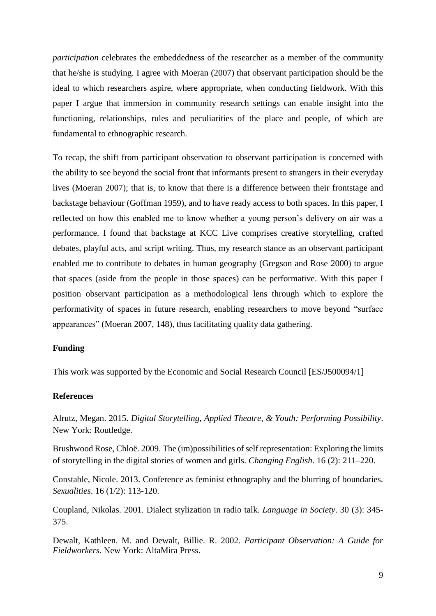*participation* celebrates the embeddedness of the researcher as a member of the community that he/she is studying. I agree with Moeran (2007) that observant participation should be the ideal to which researchers aspire, where appropriate, when conducting fieldwork. With this paper I argue that immersion in community research settings can enable insight into the functioning, relationships, rules and peculiarities of the place and people, of which are fundamental to ethnographic research.

To recap, the shift from participant observation to observant participation is concerned with the ability to see beyond the social front that informants present to strangers in their everyday lives (Moeran 2007); that is, to know that there is a difference between their frontstage and backstage behaviour (Goffman 1959), and to have ready access to both spaces. In this paper, I reflected on how this enabled me to know whether a young person's delivery on air was a performance. I found that backstage at KCC Live comprises creative storytelling, crafted debates, playful acts, and script writing. Thus, my research stance as an observant participant enabled me to contribute to debates in human geography (Gregson and Rose 2000) to argue that spaces (aside from the people in those spaces) can be performative. With this paper I position observant participation as a methodological lens through which to explore the performativity of spaces in future research, enabling researchers to move beyond "surface appearances" (Moeran 2007, 148), thus facilitating quality data gathering.

# **Funding**

This work was supported by the Economic and Social Research Council [ES/J500094/1]

## **References**

Alrutz, Megan. 2015. *Digital Storytelling, Applied Theatre, & Youth: Performing Possibility*. New York: Routledge.

Brushwood Rose, Chloë. 2009. The (im)possibilities of self representation: Exploring the limits of storytelling in the digital stories of women and girls. *Changing English*. 16 (2): 211–220.

Constable, Nicole. 2013. Conference as feminist ethnography and the blurring of boundaries. *Sexualities*. 16 (1/2): 113-120.

Coupland, Nikolas. 2001. Dialect stylization in radio talk. *Language in Society*. 30 (3): 345- 375.

Dewalt, Kathleen. M. and Dewalt, Billie. R. 2002. *Participant Observation: A Guide for Fieldworkers*. New York: AltaMira Press.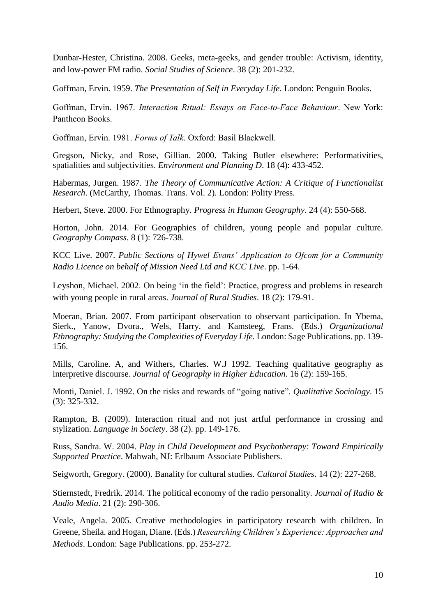Dunbar-Hester, Christina. 2008. Geeks, meta-geeks, and gender trouble: Activism, identity, and low-power FM radio. *Social Studies of Science*. 38 (2): 201-232.

Goffman, Ervin. 1959. *The Presentation of Self in Everyday Life*. London: Penguin Books.

Goffman, Ervin. 1967. *Interaction Ritual: Essays on Face-to-Face Behaviour*. New York: Pantheon Books.

Goffman, Ervin. 1981. *Forms of Talk*. Oxford: Basil Blackwell.

Gregson, Nicky, and Rose, Gillian. 2000. Taking Butler elsewhere: Performativities, spatialities and subjectivities. *Environment and Planning D*. 18 (4): 433-452.

Habermas, Jurgen. 1987. *The Theory of Communicative Action: A Critique of Functionalist Research*. (McCarthy, Thomas. Trans. Vol. 2). London: Polity Press.

Herbert, Steve. 2000. For Ethnography. *Progress in Human Geography*. 24 (4): 550-568.

Horton, John. 2014. For Geographies of children, young people and popular culture. *Geography Compass*. 8 (1): 726-738.

KCC Live. 2007. *Public Sections of Hywel Evans' Application to Ofcom for a Community Radio Licence on behalf of Mission Need Ltd and KCC Live*. pp. 1-64.

Leyshon, Michael. 2002. On being 'in the field': Practice, progress and problems in research with young people in rural areas. *Journal of Rural Studies*. 18 (2): 179-91.

Moeran, Brian. 2007. From participant observation to observant participation. In Ybema, Sierk., Yanow, Dvora., Wels, Harry. and Kamsteeg, Frans. (Eds.) *Organizational Ethnography: Studying the Complexities of Everyday Life.* London: Sage Publications. pp. 139- 156.

Mills, Caroline. A, and Withers, Charles. W.J 1992. Teaching qualitative geography as interpretive discourse. *Journal of Geography in Higher Education*. 16 (2): 159-165.

Monti, Daniel. J. 1992. On the risks and rewards of "going native". *Qualitative Sociology*. 15 (3): 325-332.

Rampton, B. (2009). Interaction ritual and not just artful performance in crossing and stylization. *Language in Society*. 38 (2). pp. 149-176.

Russ, Sandra. W. 2004. *Play in Child Development and Psychotherapy: Toward Empirically Supported Practice*. Mahwah, NJ: Erlbaum Associate Publishers.

Seigworth, Gregory. (2000). Banality for cultural studies. *Cultural Studies*. 14 (2): 227-268.

Stiernstedt, Fredrik. 2014. The political economy of the radio personality. *Journal of Radio & Audio Media*. 21 (2): 290-306.

Veale, Angela. 2005. Creative methodologies in participatory research with children. In Greene, Sheila. and Hogan, Diane. (Eds.) *Researching Children's Experience: Approaches and Methods*. London: Sage Publications. pp. 253-272.